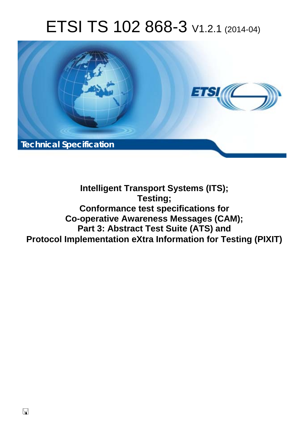# ETSI TS 102 868-3 V1.2.1 (2014-04)



## **Intelligent Transport Systems (ITS); Testing; Conformance test specifications for Co-operative Awareness Messages (CAM); Part 3: Abstract Test Suite (ATS) and Protocol Implementation eXtra Information for Testing (PIXIT)**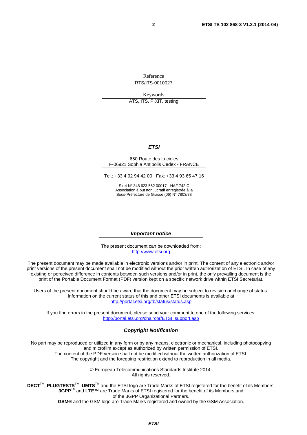Reference RTS/ITS-0010027

Keywords

ATS, ITS, PIXIT, testing

#### *ETSI*

#### 650 Route des Lucioles F-06921 Sophia Antipolis Cedex - FRANCE

Tel.: +33 4 92 94 42 00 Fax: +33 4 93 65 47 16

Siret N° 348 623 562 00017 - NAF 742 C Association à but non lucratif enregistrée à la Sous-Préfecture de Grasse (06) N° 7803/88

#### *Important notice*

The present document can be downloaded from: [http://www.etsi.org](http://www.etsi.org/)

The present document may be made available in electronic versions and/or in print. The content of any electronic and/or print versions of the present document shall not be modified without the prior written authorization of ETSI. In case of any existing or perceived difference in contents between such versions and/or in print, the only prevailing document is the print of the Portable Document Format (PDF) version kept on a specific network drive within ETSI Secretariat.

Users of the present document should be aware that the document may be subject to revision or change of status. Information on the current status of this and other ETSI documents is available at <http://portal.etsi.org/tb/status/status.asp>

If you find errors in the present document, please send your comment to one of the following services: [http://portal.etsi.org/chaircor/ETSI\\_support.asp](http://portal.etsi.org/chaircor/ETSI_support.asp)

#### *Copyright Notification*

No part may be reproduced or utilized in any form or by any means, electronic or mechanical, including photocopying and microfilm except as authorized by written permission of ETSI.

The content of the PDF version shall not be modified without the written authorization of ETSI. The copyright and the foregoing restriction extend to reproduction in all media.

> © European Telecommunications Standards Institute 2014. All rights reserved.

**DECT**TM, **PLUGTESTS**TM, **UMTS**TM and the ETSI logo are Trade Marks of ETSI registered for the benefit of its Members. **3GPP**TM and **LTE**™ are Trade Marks of ETSI registered for the benefit of its Members and of the 3GPP Organizational Partners.

**GSM**® and the GSM logo are Trade Marks registered and owned by the GSM Association.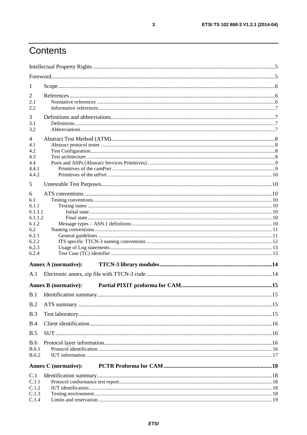## Contents

| $\mathbf{I}$     |                             |  |
|------------------|-----------------------------|--|
| 2                |                             |  |
| 2.1              |                             |  |
| 2.2              |                             |  |
| 3                |                             |  |
| 3.1<br>3.2       |                             |  |
|                  |                             |  |
| 4<br>4.1         |                             |  |
| 4.2              |                             |  |
| 4.3              |                             |  |
| 4.4              |                             |  |
| 4.4.1            |                             |  |
| 4.4.2            |                             |  |
| 5                |                             |  |
| 6                |                             |  |
| 6.1              |                             |  |
| 6.1.1<br>6.1.1.1 |                             |  |
| 6.1.1.2          |                             |  |
| 6.1.2            |                             |  |
| 6.2              |                             |  |
| 6.2.1<br>6.2.2   |                             |  |
| 6.2.3            |                             |  |
| 6.2.4            |                             |  |
|                  | <b>Annex A (normative):</b> |  |
| A.1              |                             |  |
|                  |                             |  |
|                  | <b>Annex B</b> (normative): |  |
|                  |                             |  |
| B.2              |                             |  |
| B.3              |                             |  |
| B.4              |                             |  |
| B.5              |                             |  |
| B.6              |                             |  |
| <b>B.6.1</b>     |                             |  |
| <b>B.6.2</b>     |                             |  |
|                  | <b>Annex C</b> (normative): |  |
| C.1              |                             |  |
| C.1.1            |                             |  |
| C.1.2<br>C.1.3   |                             |  |
| C.1.4            |                             |  |
|                  |                             |  |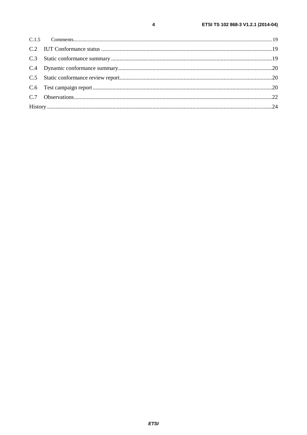$\overline{\mathbf{4}}$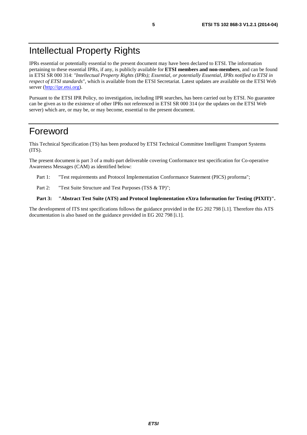## Intellectual Property Rights

IPRs essential or potentially essential to the present document may have been declared to ETSI. The information pertaining to these essential IPRs, if any, is publicly available for **ETSI members and non-members**, and can be found in ETSI SR 000 314: *"Intellectual Property Rights (IPRs); Essential, or potentially Essential, IPRs notified to ETSI in respect of ETSI standards"*, which is available from the ETSI Secretariat. Latest updates are available on the ETSI Web server ([http://ipr.etsi.org\)](http://webapp.etsi.org/IPR/home.asp).

Pursuant to the ETSI IPR Policy, no investigation, including IPR searches, has been carried out by ETSI. No guarantee can be given as to the existence of other IPRs not referenced in ETSI SR 000 314 (or the updates on the ETSI Web server) which are, or may be, or may become, essential to the present document.

### Foreword

This Technical Specification (TS) has been produced by ETSI Technical Committee Intelligent Transport Systems (ITS).

The present document is part 3 of a multi-part deliverable covering Conformance test specification for Co-operative Awareness Messages (CAM) as identified below:

- Part 1: "Test requirements and Protocol Implementation Conformance Statement (PICS) proforma";
- Part 2: "Test Suite Structure and Test Purposes (TSS & TP)";

#### **Part 3: "Abstract Test Suite (ATS) and Protocol Implementation eXtra Information for Testing (PIXIT)".**

The development of ITS test specifications follows the guidance provided in the EG 202 798 [i.1]. Therefore this ATS documentation is also based on the guidance provided in EG 202 798 [i.1].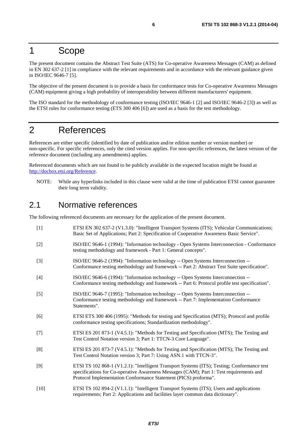### 1 Scope

The present document contains the Abstract Test Suite (ATS) for Co-operative Awareness Messages (CAM) as defined in EN 302 637-2 [1] in compliance with the relevant requirements and in accordance with the relevant guidance given in ISO/IEC 9646-7 [5].

The objective of the present document is to provide a basis for conformance tests for Co-operative Awareness Messages (CAM) equipment giving a high probability of interoperability between different manufacturers' equipment.

The ISO standard for the methodology of conformance testing (ISO/IEC 9646-1 [2] and ISO/IEC 9646-2 [3]) as well as the ETSI rules for conformance testing (ETS 300 406 [6]) are used as a basis for the test methodology.

### 2 References

References are either specific (identified by date of publication and/or edition number or version number) or non-specific. For specific references, only the cited version applies. For non-specific references, the latest version of the reference document (including any amendments) applies.

Referenced documents which are not found to be publicly available in the expected location might be found at [http://docbox.etsi.org/Reference.](http://docbox.etsi.org/Reference)

NOTE: While any hyperlinks included in this clause were valid at the time of publication ETSI cannot guarantee their long term validity.

### 2.1 Normative references

The following referenced documents are necessary for the application of the present document.

| $[1]$  | ETSI EN 302 637-2 (V1.3.0): "Intelligent Transport Systems (ITS); Vehicular Communications;<br>Basic Set of Applications; Part 2: Specification of Cooperative Awareness Basic Service".                                                                  |
|--------|-----------------------------------------------------------------------------------------------------------------------------------------------------------------------------------------------------------------------------------------------------------|
| $[2]$  | ISO/IEC 9646-1 (1994): "Information technology - Open Systems Interconnection - Conformance<br>testing methodology and framework - Part 1: General concepts".                                                                                             |
| $[3]$  | ISO/IEC 9646-2 (1994): "Information technology -- Open Systems Interconnection --<br>Conformance testing methodology and framework -- Part 2: Abstract Test Suite specification".                                                                         |
| $[4]$  | ISO/IEC 9646-6 (1994): "Information technology -- Open Systems Interconnection --<br>Conformance testing methodology and framework -- Part 6: Protocol profile test specification".                                                                       |
| $[5]$  | ISO/IEC 9646-7 (1995): "Information technology -- Open Systems Interconnection --<br>Conformance testing methodology and framework -- Part 7: Implementation Conformance<br>Statements".                                                                  |
| [6]    | ETSI ETS 300 406 (1995): "Methods for testing and Specification (MTS); Protocol and profile<br>conformance testing specifications; Standardization methodology".                                                                                          |
| $[7]$  | ETSI ES 201 873-1 (V4.5.1): "Methods for Testing and Specification (MTS); The Testing and<br>Test Control Notation version 3; Part 1: TTCN-3 Core Language".                                                                                              |
| [8]    | ETSI ES 201 873-7 (V4.5.1): "Methods for Testing and Specification (MTS); The Testing and<br>Test Control Notation version 3; Part 7: Using ASN.1 with TTCN-3".                                                                                           |
| [9]    | ETSI TS 102 868-1 (V1.2.1): "Intelligent Transport Systems (ITS); Testing; Conformance test<br>specifications for Co-operative Awareness Messages (CAM); Part 1: Test requirements and<br>Protocol Implementation Conformance Statement (PICS) proforma". |
| $[10]$ | ETSI TS 102 894-2 (V1.1.1): "Intelligent Transport Systems (ITS); Users and applications<br>requirements; Part 2: Applications and facilities layer common data dictionary".                                                                              |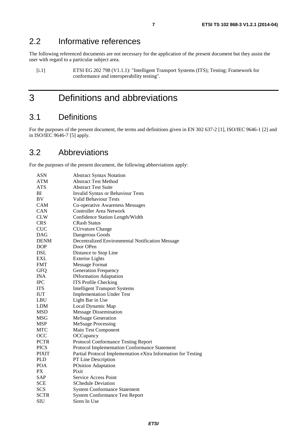### 2.2 Informative references

The following referenced documents are not necessary for the application of the present document but they assist the user with regard to a particular subject area.

[i.1] ETSI EG 202 798 (V1.1.1): "Intelligent Transport Systems (ITS); Testing; Framework for conformance and interoperability testing".

## 3 Definitions and abbreviations

### 3.1 Definitions

For the purposes of the present document, the terms and definitions given in EN 302 637-2 [1], ISO/IEC 9646-1 [2] and in ISO/IEC 9646-7 [5] apply.

### 3.2 Abbreviations

For the purposes of the present document, the following abbreviations apply:

| ASN          | <b>Abstract Syntax Notation</b>                               |
|--------------|---------------------------------------------------------------|
| <b>ATM</b>   | <b>Abstract Test Method</b>                                   |
| <b>ATS</b>   | <b>Abstract Test Suite</b>                                    |
| ΒI           | <b>Invalid Syntax or Behaviour Tests</b>                      |
| <b>BV</b>    | Valid Behaviour Tests                                         |
| CAM          | Co-operative Awareness Messages                               |
| CAN          | <b>Controller Area Network</b>                                |
| <b>CLW</b>   | Confidence Station Length/Width                               |
| <b>CRS</b>   | <b>CRash Status</b>                                           |
| <b>CUC</b>   | <b>CUrvature Change</b>                                       |
| <b>DAG</b>   | Dangerous Goods                                               |
| <b>DENM</b>  | Decentralized Environmental Notification Message              |
| <b>DOP</b>   | Door OPen                                                     |
| DSL          | Distance to Stop Line                                         |
| EXL          | <b>Exterior Lights</b>                                        |
| <b>FMT</b>   | <b>Message Format</b>                                         |
| <b>GFQ</b>   | <b>Generation Frequency</b>                                   |
| <b>INA</b>   | <b>INformation Adaptation</b>                                 |
| <b>IPC</b>   | <b>ITS Profile Checking</b>                                   |
| <b>ITS</b>   | <b>Intelligent Transport Systems</b>                          |
| <b>IUT</b>   | <b>Implementation Under Test</b>                              |
| <b>LBU</b>   | Light Bar in Use                                              |
| LDM          | Local Dynamic Map                                             |
| <b>MSD</b>   | <b>Message Dissemination</b>                                  |
| MSG          | <b>MeSsage Generation</b>                                     |
| <b>MSP</b>   | <b>MeSsage Processing</b>                                     |
| MTC          | Main Test Component                                           |
| OCC          | OCCupancy                                                     |
| <b>PCTR</b>  | Protocol Conformance Testing Report                           |
| <b>PICS</b>  | Protocol Implementation Conformance Statement                 |
| <b>PIXIT</b> | Partial Protocol Implementation eXtra Information for Testing |
| <b>PLD</b>   | PT Line Description                                           |
| <b>POA</b>   | <b>POsition Adaptation</b>                                    |
| PX           | Pixit                                                         |
| <b>SAP</b>   | Service Access Point                                          |
| <b>SCE</b>   | <b>SChedule Deviation</b>                                     |
| <b>SCS</b>   | <b>System Conformance Statement</b>                           |
| <b>SCTR</b>  | <b>System Conformance Test Report</b>                         |
| <b>SIU</b>   | Siren In Use                                                  |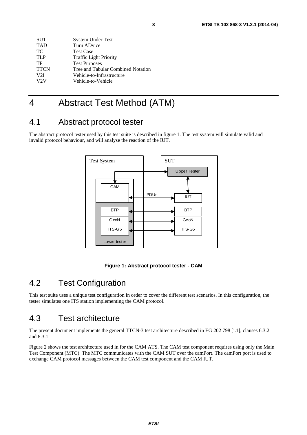| <b>SUT</b>  | <b>System Under Test</b>           |
|-------------|------------------------------------|
| <b>TAD</b>  | Turn ADvice                        |
| TС          | <b>Test Case</b>                   |
| <b>TLP</b>  | <b>Traffic Light Priority</b>      |
| TP          | <b>Test Purposes</b>               |
| <b>TTCN</b> | Tree and Tabular Combined Notation |
| V2I         | Vehicle-to-Infrastructure          |
| V2V         | Vehicle-to-Vehicle                 |
|             |                                    |

## 4 Abstract Test Method (ATM)

### 4.1 Abstract protocol tester

The abstract protocol tester used by this test suite is described in figure 1. The test system will simulate valid and invalid protocol behaviour, and will analyse the reaction of the IUT.





### 4.2 Test Configuration

This test suite uses a unique test configuration in order to cover the different test scenarios. In this configuration, the tester simulates one ITS station implementing the CAM protocol.

### 4.3 Test architecture

The present document implements the general TTCN-3 test architecture described in EG 202 798 [i.1], clauses 6.3.2 and 8.3.1.

Figure 2 shows the test architecture used in for the CAM ATS. The CAM test component requires using only the Main Test Component (MTC). The MTC communicates with the CAM SUT over the camPort. The camPort port is used to exchange CAM protocol messages between the CAM test component and the CAM IUT.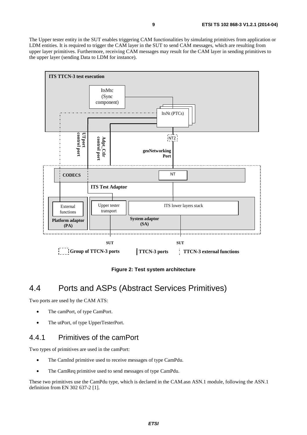The Upper tester entity in the SUT enables triggering CAM functionalities by simulating primitives from application or LDM entities. It is required to trigger the CAM layer in the SUT to send CAM messages, which are resulting from upper layer primitives. Furthermore, receiving CAM messages may result for the CAM layer in sending primitives to the upper layer (sending Data to LDM for instance).



**Figure 2: Test system architecture** 

### 4.4 Ports and ASPs (Abstract Services Primitives)

Two ports are used by the CAM ATS:

- The camPort, of type CamPort.
- The utPort, of type UpperTesterPort.

### 4.4.1 Primitives of the camPort

Two types of primitives are used in the camPort:

- The CamInd primitive used to receive messages of type CamPdu.
- The CamReq primitive used to send messages of type CamPdu.

These two primitives use the CamPdu type, which is declared in the CAM.asn ASN.1 module, following the ASN.1 definition from EN 302 637-2 [1].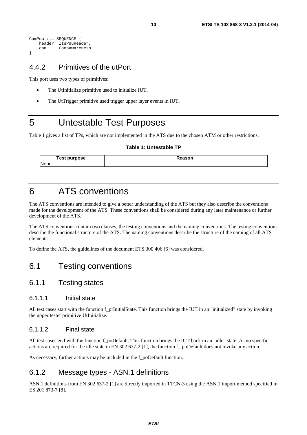```
CamPdu ::= SEQUENCE { 
     header ItsPduHeader, 
     cam CoopAwareness 
}
```
### 4.4.2 Primitives of the utPort

This port uses two types of primitives:

- The UtInitialize primitive used to initialize IUT.
- The UtTrigger primitive used trigger upper layer events in IUT.

## 5 Untestable Test Purposes

Table 1 gives a list of TPs, which are not implemented in the ATS due to the chosen ATM or other restrictions.

#### **Table 1: Untestable TP**

| rest    | ----- |
|---------|-------|
| purpose | sor   |
| None    |       |

### 6 ATS conventions

The ATS conventions are intended to give a better understanding of the ATS but they also describe the conventions made for the development of the ATS. These conventions shall be considered during any later maintenance or further development of the ATS.

The ATS conventions contain two clauses, the testing conventions and the naming conventions. The testing conventions describe the functional structure of the ATS. The naming conventions describe the structure of the naming of all ATS elements.

To define the ATS, the guidelines of the document ETS 300 406 [6] was considered.

### 6.1 Testing conventions

#### 6.1.1 Testing states

#### 6.1.1.1 Initial state

All test cases start with the function f\_prInitialState. This function brings the IUT in an "initialized" state by invoking the upper tester primitive UtInitialize.

#### 6.1.1.2 Final state

All test cases end with the function f\_poDefault. This function brings the IUT back in an "idle" state. As no specific actions are required for the idle state in EN 302 637-2 [1], the function f\_ poDefault does not invoke any action.

As necessary, further actions may be included in the f\_poDefault function.

### 6.1.2 Message types - ASN.1 definitions

ASN.1 definitions from EN 302 637-2 [1] are directly imported in TTCN-3 using the ASN.1 import method specified in ES 201 873-7 [8].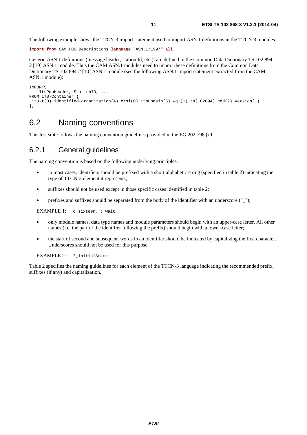The following example shows the TTCN-3 import statement used to import ASN.1 definitions in the TTCN-3 modules:

```
import from CAM_PDU_Descriptions language "ASN.1:1997" all;
```
Generic ASN.1 definitions (message header, station Id, etc.), are defined in the Common Data Dictionary TS 102 894- 2 [10] ASN.1 module. Thus the CAM ASN.1 modules need to import these definitions from the Common Data Dictionary TS 102 894-2 [10] ASN.1 module (see the following ASN.1 import statement extracted from the CAM ASN.1 module):

```
IMPORTS 
    ItsPduHeader, StationID, ... 
FROM ITS-Container { 
 itu-t(0) identified-organization(4) etsi(0) itsDomain(5) wg1(1) ts(102894) cdd(2) version(1) 
};
```
### 6.2 Naming conventions

This test suite follows the naming convention guidelines provided in the EG 202 798 [i.1].

### 6.2.1 General guidelines

The naming convention is based on the following underlying principles:

- in most cases, identifiers should be prefixed with a short alphabetic string (specified in table 2) indicating the type of TTCN-3 element it represents;
- suffixes should not be used except in those specific cases identified in table 2;
- prefixes and suffixes should be separated from the body of the identifier with an underscore (" $"$ );

EXAMPLE 1: c\_sixteen, t\_wait.

- only module names, data type names and module parameters should begin with an upper-case letter. All other names (i.e. the part of the identifier following the prefix) should begin with a lower-case letter;
- the start of second and subsequent words in an identifier should be indicated by capitalizing the first character. Underscores should not be used for this purpose.

EXAMPLE 2: f\_initialState.

Table 2 specifies the naming guidelines for each element of the TTCN-3 language indicating the recommended prefix, suffixes (if any) and capitalization.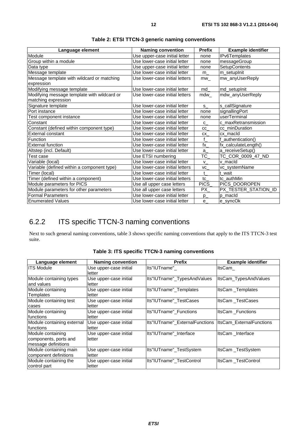| Language element                            | <b>Naming convention</b>       | <b>Prefix</b>   | <b>Example identifier</b> |
|---------------------------------------------|--------------------------------|-----------------|---------------------------|
| Module                                      | Use upper-case initial letter  | none            | IPv6Templates             |
| Group within a module                       | Use lower-case initial letter  | none            | messageGroup              |
| Data type                                   | Use upper-case initial letter  | none            | <b>SetupContents</b>      |
| Message template                            | Use lower-case initial letter  | $m_{-}$         | m_setupInit               |
| Message template with wildcard or matching  | Use lower-case initial letters | $mw_$           | mw_anyUserReply           |
| expression                                  |                                |                 |                           |
| Modifying message template                  | Use lower-case initial letter  | md              | md_setupInit              |
| Modifying message template with wildcard or | Use lower-case initial letters | mdw             | mdw_anyUserReply          |
| matching expression                         |                                |                 |                           |
| Signature template                          | Use lower-case initial letter  | s.              | s_callSignature           |
| Port instance                               | Use lower-case initial letter  | none            | signallingPort            |
| Test component instance                     | Use lower-case initial letter  | none            | userTerminal              |
| Constant                                    | Use lower-case initial letter  | $\mathbf{C}$    | c_maxRetransmission       |
| Constant (defined within component type)    | Use lower-case initial letter  | cc              | cc_minDuration            |
| External constant                           | Use lower-case initial letter  | CX              | cx macld                  |
| Function                                    | Use lower-case initial letter  | $f_{\perp}$     | authentication()          |
| <b>External function</b>                    | Use lower-case initial letter  | $\mathsf{tx}\_$ | fx_calculateLength()      |
| Altstep (incl. Default)                     | Use lower-case initial letter  | a               | a_receiveSetup()          |
| Test case                                   | Use ETSI numbering             | TC_             | TC_COR_0009_47_ND         |
| Variable (local)                            | Use lower-case initial letter  | $\mathsf{v}$    | v macld                   |
| Variable (defined within a component type)  | Use lower-case initial letters | VC              | vc_systemName             |
| Timer (local)                               | Use lower-case initial letter  | t               | t wait                    |
| Timer (defined within a component)          | Use lower-case initial letters | tc              | tc authMin                |
| Module parameters for PICS                  | Use all upper case letters     | <b>PICS</b>     | PICS_DOOROPEN             |
| Module parameters for other parameters      | Use all upper case letters     | PX              | PX_TESTER_STATION_ID      |
| <b>Formal Parameters</b>                    | Use lower-case initial letter  | $p_{-}$         | p macld                   |
| Enumerated Values                           | Use lower-case initial letter  | e               | e_syncOk                  |

| Table 2: ETSI TTCN-3 generic naming conventions |  |  |
|-------------------------------------------------|--|--|
|-------------------------------------------------|--|--|

### 6.2.2 ITS specific TTCN-3 naming conventions

Next to such general naming conventions, table 3 shows specific naming conventions that apply to the ITS TTCN-3 test suite.

| Language element                                                  | <b>Naming convention</b>         | <b>Prefix</b>                                            | <b>Example identifier</b> |
|-------------------------------------------------------------------|----------------------------------|----------------------------------------------------------|---------------------------|
| <b>ITS Module</b>                                                 | Use upper-case initial<br>letter | Its"IUTname"                                             | ItsCam                    |
| Module containing types<br>and values                             | Use upper-case initial<br>letter | Its"IUTname"_TypesAndValues                              | ItsCam_TypesAndValues     |
| Module containing<br>Templates                                    | Use upper-case initial<br>letter | Its"IUTname"_Templates                                   | ItsCam_Templates          |
| Module containing test<br>cases                                   | Use upper-case initial<br>letter | Its"IUTname"_TestCases                                   | ItsCam TestCases          |
| Module containing<br>Ifunctions                                   | Use upper-case initial<br>letter | Its"IUTname"_Functions                                   | ItsCam Functions          |
| Module containing external<br>Ifunctions                          | Use upper-case initial<br>letter | Its"IUTname" ExternalFunctions  ItsCam ExternalFunctions |                           |
| Module containing<br>components, ports and<br>message definitions | Use upper-case initial<br>letter | Its"IUTname" Interface                                   | ItsCam Interface          |
| Module containing main<br>component definitions                   | Use upper-case initial<br>letter | Its"IUTname"_TestSystem                                  | ItsCam_TestSystem         |
| Module containing the<br>control part                             | Use upper-case initial<br>letter | Its"IUTname" TestControl                                 | ItsCam TestControl        |

**Table 3: ITS specific TTCN-3 naming conventions**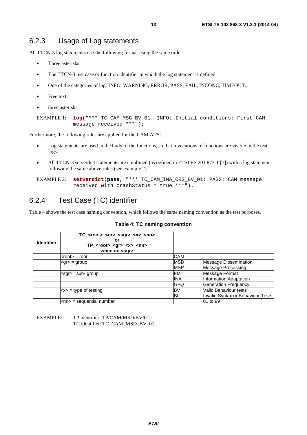### 6.2.3 Usage of Log statements

All TTCN-3 log statements use the following format using the same order:

- Three asterisks.
- The TTCN-3 test case or function identifier in which the log statement is defined.
- One of the categories of log: INFO, WARNING, ERROR, PASS, FAIL, INCONC, TIMEOUT.
- Free text.
- three asterisks.

```
EXAMPLE 1: log("*** TC_CAM_MSG_BV_01: INFO: Initial conditions: First CAM 
            message received ***");
```
Furthermore, the following rules are applied for the CAM ATS:

- Log statements are used in the body of the functions, so that invocations of functions are visible in the test logs.
- All TTCN-3 setverdict statements are combined (as defined in ETSI ES 201 873-1 [7]) with a log statement following the same above rules (see example 2).

EXAMPLE 2: **setverdict**(**pass**, "\*\*\* TC\_CAM\_INA\_CRS\_BV\_01: PASS: CAM message received with crashStatus = true \*\*\*").

### 6.2.4 Test Case (TC) identifier

Table 4 shows the test case naming convention, which follows the same naming convention as the test purposes.

#### **Table 4: TC naming convention**

| <b>Identifier</b> | $TC$ <sub>_</sub> <root>_<gr>_<sgr>_<x>_<nn><br/>or<br/><math>TP</math> <root> <gr> <x> <nn><br/>when no <math>&lt;</math>sgr<math>&gt;</math></nn></x></gr></root></nn></x></sgr></gr></root> |            |                                   |
|-------------------|------------------------------------------------------------------------------------------------------------------------------------------------------------------------------------------------|------------|-----------------------------------|
|                   | $<$ root $>$ = root                                                                                                                                                                            | <b>CAM</b> |                                   |
|                   | $<$ gr $>$ = group                                                                                                                                                                             | <b>MSD</b> | <b>Message Dissemination</b>      |
|                   |                                                                                                                                                                                                | <b>MSP</b> | <b>Message Processing</b>         |
|                   | <sar> =sub- group</sar>                                                                                                                                                                        | <b>FMT</b> | Message Format                    |
|                   |                                                                                                                                                                                                | <b>INA</b> | Information Adaptation            |
|                   |                                                                                                                                                                                                | <b>GFQ</b> | <b>Generation Frequency</b>       |
|                   | $\langle x \rangle$ = type of testing                                                                                                                                                          | B٧         | Valid Behaviour tests             |
|                   |                                                                                                                                                                                                | BI         | Invalid Syntax or Behaviour Tests |
|                   | $\mathsf{knn}$ = sequential number                                                                                                                                                             |            | 01 to 99                          |

EXAMPLE: TP identifier: TP/CAM/MSD/BV/01 TC identifier: TC\_CAM\_MSD\_BV\_01.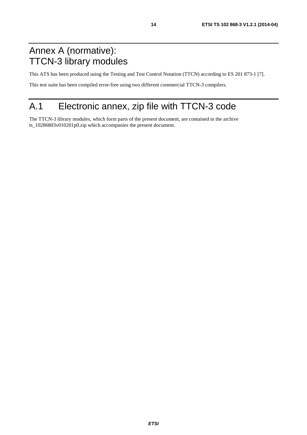## Annex A (normative): TTCN-3 library modules

This ATS has been produced using the Testing and Test Control Notation (TTCN) according to ES 201 873-1 [7].

This test suite has been compiled error-free using two different commercial TTCN-3 compilers.

## A.1 Electronic annex, zip file with TTCN-3 code

The TTCN-3 library modules, which form parts of the present document, are contained in the archive ts\_10286803v010201p0.zip which accompanies the present document.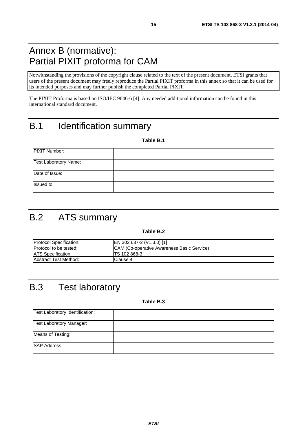## Annex B (normative): Partial PIXIT proforma for CAM

Notwithstanding the provisions of the copyright clause related to the text of the present document, ETSI grants that users of the present document may freely reproduce the Partial PIXIT proforma in this annex so that it can be used for its intended purposes and may further publish the completed Partial PIXIT.

The PIXIT Proforma is based on ISO/IEC 9646-6 [4]. Any needed additional information can be found in this international standard document.

## B.1 Identification summary

**Table B.1** 

| <b>PIXIT Number:</b>  |  |
|-----------------------|--|
| Test Laboratory Name: |  |
| Date of Issue:        |  |
| Issued to:            |  |

## B.2 ATS summary

#### **Table B.2**

| <b>IProtocol Specification:</b> | EN 302 637-2 (V1.3.0) [1]                  |
|---------------------------------|--------------------------------------------|
| <b>Protocol to be tested:</b>   | CAM (Co-operative Awareness Basic Service) |
| <b>ATS Specification:</b>       | ITS 102 868-3                              |
| Abstract Test Method:           | lClause 4                                  |

## B.3 Test laboratory

**Table B.3** 

| Test Laboratory Identification: |  |
|---------------------------------|--|
| <b>Test Laboratory Manager:</b> |  |
| Means of Testing:               |  |
| <b>SAP Address:</b>             |  |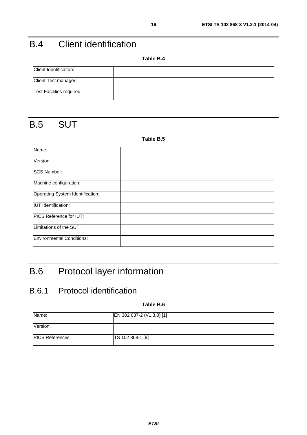## B.4 Client identification

**Table B.4** 

| Client Identification:    |  |
|---------------------------|--|
| Client Test manager:      |  |
| Test Facilities required: |  |

## B.5 SUT

#### **Table B.5**

| Name:                            |  |
|----------------------------------|--|
| Version:                         |  |
| <b>SCS Number:</b>               |  |
| Machine configuration:           |  |
| Operating System Identification: |  |
| <b>IUT</b> Identification:       |  |
| PICS Reference for IUT:          |  |
| Limitations of the SUT:          |  |
| <b>Environmental Conditions:</b> |  |

## B.6 Protocol layer information

### B.6.1 Protocol identification

**Table B.6** 

| Name:                   | EN 302 637-2 (V1.3.0) [1] |
|-------------------------|---------------------------|
| Version:                |                           |
| <b>PICS References:</b> | TS 102 868-1 [9]          |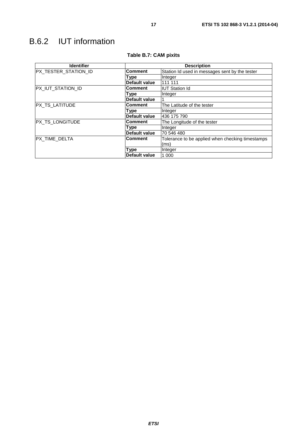## B.6.2 IUT information

| <b>Identifier</b>    | <b>Description</b>   |                                                  |  |  |  |
|----------------------|----------------------|--------------------------------------------------|--|--|--|
| PX_TESTER_STATION_ID | <b>Comment</b>       | Station Id used in messages sent by the tester   |  |  |  |
|                      | Type                 | Integer                                          |  |  |  |
|                      | Default value        | 111 111                                          |  |  |  |
| PX_IUT_STATION_ID    | <b>Comment</b>       | <b>IUT Station Id</b>                            |  |  |  |
|                      | Type                 | Integer                                          |  |  |  |
|                      | <b>Default value</b> |                                                  |  |  |  |
| PX_TS_LATITUDE       | <b>Comment</b>       | The Latitude of the tester                       |  |  |  |
|                      | Type                 | Integer                                          |  |  |  |
|                      | Default value        | 436 175 790                                      |  |  |  |
| PX_TS_LONGITUDE      | <b>Comment</b>       | The Longitude of the tester                      |  |  |  |
|                      | Type                 | Integer                                          |  |  |  |
|                      | Default value        | 70 546 480                                       |  |  |  |
| PX_TIME_DELTA        | <b>Comment</b>       | Tolerance to be applied when checking timestamps |  |  |  |
|                      |                      | (ms)                                             |  |  |  |
|                      | Type                 | Integer                                          |  |  |  |
|                      | Default value        | 1 0 0 0                                          |  |  |  |

### **Table B.7: CAM pixits**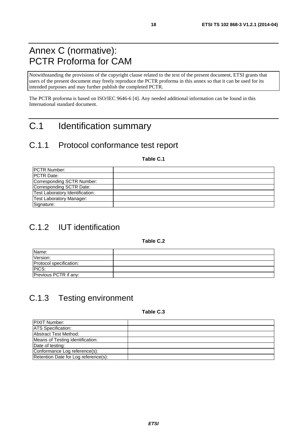## Annex C (normative): PCTR Proforma for CAM

Notwithstanding the provisions of the copyright clause related to the text of the present document, ETSI grants that users of the present document may freely reproduce the PCTR proforma in this annex so that it can be used for its intended purposes and may further publish the completed PCTR.

The PCTR proforma is based on ISO/IEC 9646-6 [4]. Any needed additional information can be found in this International standard document.

## C.1 Identification summary

### C.1.1 Protocol conformance test report

**Table C.1** 

| <b>IPCTR Number:</b>            |  |
|---------------------------------|--|
| <b>IPCTR Date:</b>              |  |
| Corresponding SCTR Number:      |  |
| Corresponding SCTR Date:        |  |
| Test Laboratory Identification: |  |
| <b>Test Laboratory Manager:</b> |  |
| Signature:                      |  |

## C.1.2 IUT identification

**Table C.2** 

| Name:                   |  |
|-------------------------|--|
| Version:                |  |
| Protocol specification: |  |
| PICS:                   |  |
| Previous PCTR if any:   |  |

## C.1.3 Testing environment

**Table C.3** 

| <b>PIXIT Number:</b>                 |  |
|--------------------------------------|--|
| <b>ATS</b> Specification:            |  |
| Abstract Test Method:                |  |
| Means of Testing identification:     |  |
| Date of testing:                     |  |
| Conformance Log reference(s):        |  |
| Retention Date for Log reference(s): |  |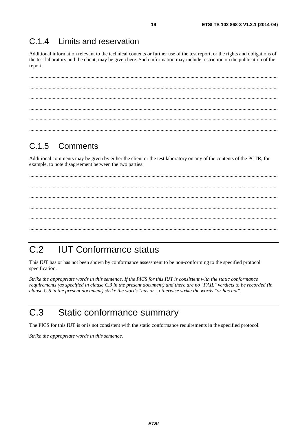#### $C.14$ Limits and reservation

Additional information relevant to the technical contents or further use of the test report, or the rights and obligations of the test laboratory and the client, may be given here. Such information may include restriction on the publication of the report.

#### $C.1.5$ Comments

Additional comments may be given by either the client or the test laboratory on any of the contents of the PCTR, for example, to note disagreement between the two parties.

#### $C.2$ **IUT Conformance status**

This IUT has or has not been shown by conformance assessment to be non-conforming to the specified protocol specification.

Strike the appropriate words in this sentence. If the PICS for this IUT is consistent with the static conformance requirements (as specified in clause C.3 in the present document) and there are no "FAIL" verdicts to be recorded (in clause C.6 in the present document) strike the words "has or", otherwise strike the words "or has not".

#### $C.3$ Static conformance summary

The PICS for this IUT is or is not consistent with the static conformance requirements in the specified protocol.

Strike the appropriate words in this sentence.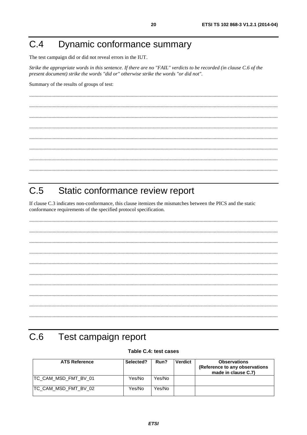#### Dynamic conformance summary  $C.4$

The test campaign did or did not reveal errors in the IUT.

Strike the appropriate words in this sentence. If there are no "FAIL" verdicts to be recorded (in clause C.6 of the present document) strike the words "did or" otherwise strike the words "or did not".

Summary of the results of groups of test:

#### $C.5$ Static conformance review report

If clause C.3 indicates non-conformance, this clause itemizes the mismatches between the PICS and the static conformance requirements of the specified protocol specification.

#### $C.6$ Test campaign report

#### Table C.4: test cases

| <b>ATS Reference</b>  | Selected? | Run?   | <b>Verdict</b> | <b>Observations</b><br>(Reference to any observations<br>made in clause C.7) |
|-----------------------|-----------|--------|----------------|------------------------------------------------------------------------------|
| ITC CAM MSD FMT BV 01 | Yes/No    | Yes/No |                |                                                                              |
| ITC CAM MSD FMT BV 02 | Yes/No    | Yes/No |                |                                                                              |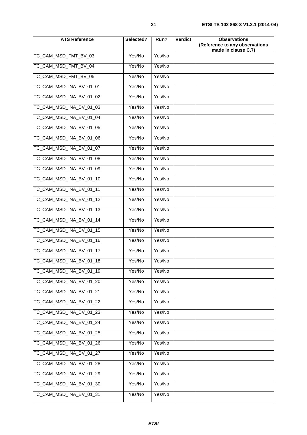| <b>ATS Reference</b>    | Selected? | Run?   | Verdict | <b>Observations</b><br>(Reference to any observations<br>made in clause C.7) |
|-------------------------|-----------|--------|---------|------------------------------------------------------------------------------|
| TC_CAM_MSD_FMT_BV_03    | Yes/No    | Yes/No |         |                                                                              |
| TC CAM MSD FMT BV 04    | Yes/No    | Yes/No |         |                                                                              |
| TC_CAM_MSD_FMT_BV_05    | Yes/No    | Yes/No |         |                                                                              |
| TC_CAM_MSD_INA_BV_01_01 | Yes/No    | Yes/No |         |                                                                              |
| TC_CAM_MSD_INA_BV_01_02 | Yes/No    | Yes/No |         |                                                                              |
| TC_CAM_MSD_INA_BV_01_03 | Yes/No    | Yes/No |         |                                                                              |
| TC_CAM_MSD_INA_BV_01_04 | Yes/No    | Yes/No |         |                                                                              |
| TC_CAM_MSD_INA_BV_01_05 | Yes/No    | Yes/No |         |                                                                              |
| TC CAM MSD INA BV 01 06 | Yes/No    | Yes/No |         |                                                                              |
| TC_CAM_MSD_INA_BV_01_07 | Yes/No    | Yes/No |         |                                                                              |
| TC CAM MSD INA BV 01 08 | Yes/No    | Yes/No |         |                                                                              |
| TC CAM MSD INA BV 01 09 | Yes/No    | Yes/No |         |                                                                              |
| TC_CAM_MSD_INA_BV_01_10 | Yes/No    | Yes/No |         |                                                                              |
| TC_CAM_MSD_INA_BV_01_11 | Yes/No    | Yes/No |         |                                                                              |
| TC_CAM_MSD_INA_BV_01_12 | Yes/No    | Yes/No |         |                                                                              |
| TC_CAM_MSD_INA_BV_01_13 | Yes/No    | Yes/No |         |                                                                              |
| TC_CAM_MSD_INA_BV_01_14 | Yes/No    | Yes/No |         |                                                                              |
| TC_CAM_MSD_INA_BV_01_15 | Yes/No    | Yes/No |         |                                                                              |
| TC_CAM_MSD_INA_BV_01_16 | Yes/No    | Yes/No |         |                                                                              |
| TC CAM MSD INA BV 01 17 | Yes/No    | Yes/No |         |                                                                              |
| TC_CAM_MSD_INA_BV_01_18 | Yes/No    | Yes/No |         |                                                                              |
| TC_CAM_MSD_INA_BV_01_19 | Yes/No    | Yes/No |         |                                                                              |
| TC_CAM_MSD_INA_BV_01_20 | Yes/No    | Yes/No |         |                                                                              |
| TC_CAM_MSD_INA_BV_01_21 | Yes/No    | Yes/No |         |                                                                              |
| TC_CAM_MSD_INA_BV_01_22 | Yes/No    | Yes/No |         |                                                                              |
| TC CAM MSD INA BV 01 23 | Yes/No    | Yes/No |         |                                                                              |
| TC_CAM_MSD_INA_BV_01_24 | Yes/No    | Yes/No |         |                                                                              |
| TC_CAM_MSD_INA_BV_01_25 | Yes/No    | Yes/No |         |                                                                              |
| TC_CAM_MSD_INA_BV_01_26 | Yes/No    | Yes/No |         |                                                                              |
| TC_CAM_MSD_INA_BV_01_27 | Yes/No    | Yes/No |         |                                                                              |
| TC_CAM_MSD_INA_BV_01_28 | Yes/No    | Yes/No |         |                                                                              |
| TC_CAM_MSD_INA_BV_01_29 | Yes/No    | Yes/No |         |                                                                              |
| TC_CAM_MSD_INA_BV_01_30 | Yes/No    | Yes/No |         |                                                                              |
| TC_CAM_MSD_INA_BV_01_31 | Yes/No    | Yes/No |         |                                                                              |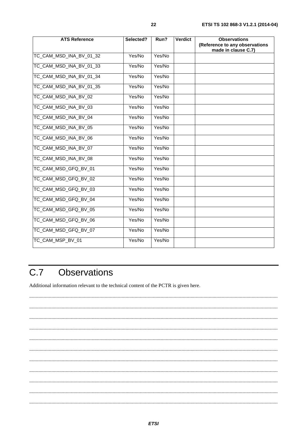| <b>ATS Reference</b>    | Selected? | Run?   | <b>Verdict</b> | <b>Observations</b><br>(Reference to any observations<br>made in clause C.7) |
|-------------------------|-----------|--------|----------------|------------------------------------------------------------------------------|
| TC_CAM_MSD_INA_BV_01_32 | Yes/No    | Yes/No |                |                                                                              |
| TC CAM MSD INA BV 01 33 | Yes/No    | Yes/No |                |                                                                              |
| TC_CAM_MSD_INA_BV_01_34 | Yes/No    | Yes/No |                |                                                                              |
| TC_CAM_MSD_INA_BV_01_35 | Yes/No    | Yes/No |                |                                                                              |
| TC_CAM_MSD_INA_BV_02    | Yes/No    | Yes/No |                |                                                                              |
| TC_CAM_MSD_INA_BV_03    | Yes/No    | Yes/No |                |                                                                              |
| TC CAM MSD INA BV 04    | Yes/No    | Yes/No |                |                                                                              |
| TC_CAM_MSD_INA_BV_05    | Yes/No    | Yes/No |                |                                                                              |
| TC_CAM_MSD_INA_BV_06    | Yes/No    | Yes/No |                |                                                                              |
| TC_CAM_MSD_INA_BV_07    | Yes/No    | Yes/No |                |                                                                              |
| TC_CAM_MSD_INA_BV_08    | Yes/No    | Yes/No |                |                                                                              |
| TC_CAM_MSD_GFQ_BV_01    | Yes/No    | Yes/No |                |                                                                              |
| TC CAM MSD GFQ BV 02    | Yes/No    | Yes/No |                |                                                                              |
| TC_CAM_MSD_GFQ_BV_03    | Yes/No    | Yes/No |                |                                                                              |
| TC_CAM_MSD_GFQ_BV_04    | Yes/No    | Yes/No |                |                                                                              |
| TC_CAM_MSD_GFQ_BV_05    | Yes/No    | Yes/No |                |                                                                              |
| TC CAM MSD GFQ BV 06    | Yes/No    | Yes/No |                |                                                                              |
| TC_CAM_MSD_GFQ_BV_07    | Yes/No    | Yes/No |                |                                                                              |
| TC_CAM_MSP_BV_01        | Yes/No    | Yes/No |                |                                                                              |

#### $C.7$ **Observations**

Additional information relevant to the technical content of the PCTR is given here.